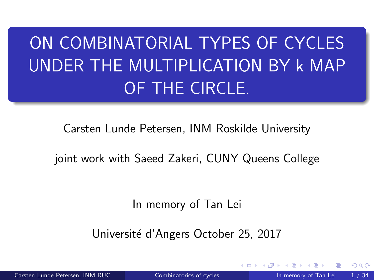<span id="page-0-0"></span>ON COMBINATORIAL TYPES OF CYCLES UNDER THE MULTIPLICATION BY k MAP OF THE CIRCLE.

Carsten Lunde Petersen, INM Roskilde University

joint work with Saeed Zakeri, CUNY Queens College

In memory of Tan Lei

Université d'Angers October 25, 2017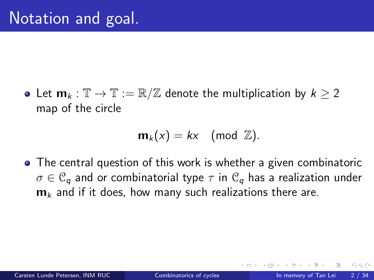<span id="page-1-0"></span>• Let  $m_k : \mathbb{T} \to \mathbb{T} := \mathbb{R}/\mathbb{Z}$  denote the multiplication by  $k \geq 2$ map of the circle

$$
\mathbf{m}_k(x) = kx \pmod{\mathbb{Z}}.
$$

The central question of this work is whether a given combinatoric  $\sigma \in \mathcal{C}_q$  and or combinatorial type  $\tau$  in  $\mathcal{C}_q$  has a realization under  $m_k$  and if it does, how many such realizations there are.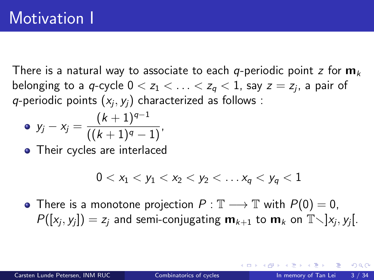There is a natural way to associate to each *q*-periodic point z for  $m_k$ belonging to a  $q$ -cycle  $0 < z_1 < \ldots < z_q < 1$ , say  $z=z_j$ , a pair of  $q$ -periodic points  $\left(x_j,y_j\right)$  characterized as follows :

• 
$$
y_j - x_j = \frac{(k+1)^{q-1}}{((k+1)^q - 1)}
$$

• Their cycles are interlaced

$$
0 < x_1 < y_1 < x_2 < y_2 < \ldots x_q < y_q < 1
$$

• There is a monotone projection  $P : \mathbb{T} \longrightarrow \mathbb{T}$  with  $P(0) = 0$ ,  $P([x_j, y_j]) = z_j$  and semi-conjugating  $m_{k+1}$  to  $m_k$  on  $\mathbb{T} \setminus ]x_j, y_j[$ .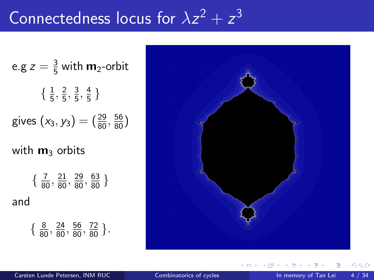# Connectedness locus for  $\lambda z^2 + z^3$

e.g  $z=\frac{3}{5}$  $\frac{3}{5}$  with **m**<sub>2</sub>-orbit  $\left\{\frac{1}{5}\right\}$  $\frac{1}{5}$ ,  $\frac{2}{5}$  $\frac{2}{5}$ ,  $\frac{3}{5}$  $\frac{3}{5}$ ,  $\frac{4}{5}$  $\frac{4}{5}$  } gives  $(x_3, y_3) = (\frac{29}{80}, \frac{56}{80})$ with  $m_3$  orbits  $\left\{\frac{7}{80}, \frac{21}{80}, \frac{29}{80}, \frac{63}{80}\right\}$ and  $\left\{\frac{8}{80}, \frac{24}{80}, \frac{56}{80}, \frac{72}{80}\right\}.$ 

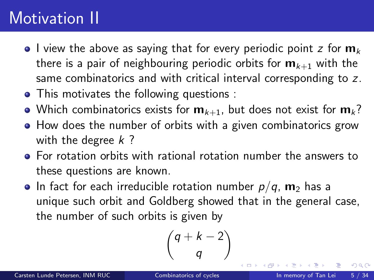## Motivation II

- I view the above as saying that for every periodic point z for  $m_k$ there is a pair of neighbouring periodic orbits for  $m_{k+1}$  with the same combinatorics and with critical interval corresponding to z.
- This motivates the following questions :
- Which combinatorics exists for  $m_{k+1}$ , but does not exist for  $m_k$ ?
- How does the number of orbits with a given combinatorics grow with the degree  $k$  ?
- For rotation orbits with rational rotation number the answers to these questions are known.
- In fact for each irreducible rotation number  $p/q$ ,  $m_2$  has a unique such orbit and Goldberg showed that in the general case, the number of such orbits is given by

$$
\binom{q+k-2}{q}
$$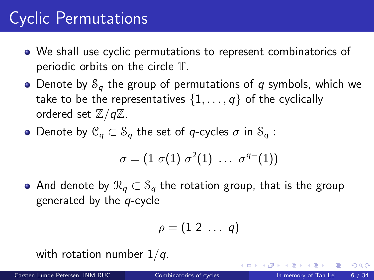## <span id="page-5-0"></span>Cyclic Permutations

- We shall use cyclic permutations to represent combinatorics of periodic orbits on the circle T.
- Denote by  $S_q$  the group of permutations of q symbols, which we take to be the representatives  $\{1, \ldots, q\}$  of the cyclically ordered set  $\mathbb{Z}/q\mathbb{Z}$ .
- Denote by  $\mathcal{C}_q \subset \mathcal{S}_q$  the set of q-cycles  $\sigma$  in  $\mathcal{S}_q$ :

$$
\sigma = (1 \space \sigma(1) \space \sigma^2(1) \space \ldots \space \sigma^{q-}(1))
$$

• And denote by  $\mathcal{R}_q \subset \mathcal{S}_q$  the rotation group, that is the group generated by the  $q$ -cycle

$$
\rho=(1\;2\;\ldots\;q)
$$

with rotation number  $1/q$ .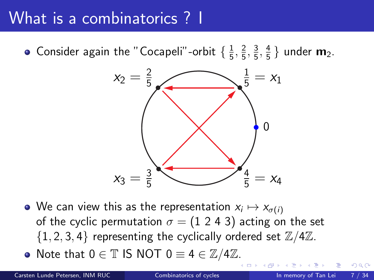### What is a combinatorics ? I

Consider again the "Cocapeli"-orbit  $\{\frac{1}{5}$  $\frac{1}{5}$ ,  $\frac{2}{5}$  $\frac{2}{5}$ ,  $\frac{3}{5}$  $\frac{3}{5}$ ,  $\frac{4}{5}$  $\frac{4}{5}$ } under **m**<sub>2</sub>.



We can view this as the representation  $x_i \mapsto x_{\sigma(i)}$ of the cyclic permutation  $\sigma = (1 2 4 3)$  acting on the set  $\{1, 2, 3, 4\}$  representing the cyclically ordered set  $\mathbb{Z}/4\mathbb{Z}$ .

• Note that  $0 \in \mathbb{T}$  IS NOT  $0 \equiv 4 \in \mathbb{Z}/4\mathbb{Z}$ [.](#page-5-0)

つひひ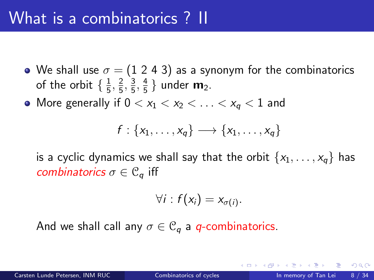- We shall use  $\sigma = (1 2 4 3)$  as a synonym for the combinatorics of the orbit  $\{\frac{1}{5}$  $\frac{1}{5}$ ,  $\frac{2}{5}$  $\frac{2}{5}$ ,  $\frac{3}{5}$  $\frac{3}{5}$ ,  $\frac{4}{5}$  $\frac{4}{5}$ } under **m**<sub>2</sub>.
- More generally if  $0 < x_1 < x_2 < \ldots < x_a < 1$  and

$$
f: \{x_1, \ldots, x_q\} \longrightarrow \{x_1, \ldots, x_q\}
$$

is a cyclic dynamics we shall say that the orbit  $\{x_1, \ldots, x_q\}$  has combinatorics  $\sigma \in \mathcal{C}_q$  iff

$$
\forall i: f(x_i) = x_{\sigma(i)}.
$$

And we shall call any  $\sigma \in \mathcal{C}_q$  a *q*-combinatorics.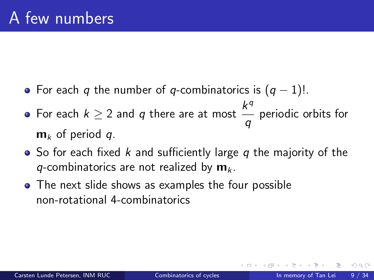- For each q the number of q-combinatorics is  $(q 1)!$ .
- For each  $k \geq 2$  and  $q$  there are at most  $\frac{k^q}{q}$ q periodic orbits for  $m_k$  of period a.
- $\bullet$  So for each fixed k and sufficiently large q the majority of the q-combinatorics are not realized by  $m_k$ .
- The next slide shows as examples the four possible non-rotational 4-combinatorics

つへへ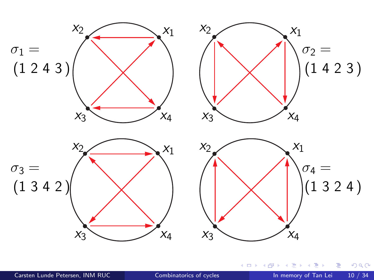

4 D F

Þ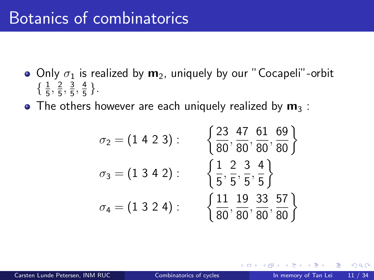- Only  $\sigma_1$  is realized by  $\mathbf{m}_2$ , uniquely by our "Cocapeli"-orbit  $\left\{\frac{1}{5}\right\}$  $\frac{1}{5}$ ,  $\frac{2}{5}$  $\frac{2}{5}$ ,  $\frac{3}{5}$  $\frac{3}{5}, \frac{4}{5}$  $\frac{4}{5}$ .
- The others however are each uniquely realized by  $m_3$ :

$$
\sigma_2 = (1\ 4\ 2\ 3): \qquad \left\{\frac{23}{80}, \frac{47}{80}, \frac{61}{80}, \frac{69}{80}\right\} \n\sigma_3 = (1\ 3\ 4\ 2): \qquad \left\{\frac{1}{5}, \frac{2}{5}, \frac{3}{5}, \frac{4}{5}\right\} \n\sigma_4 = (1\ 3\ 2\ 4): \qquad \left\{\frac{11}{80}, \frac{19}{80}, \frac{33}{80}, \frac{57}{80}\right\}
$$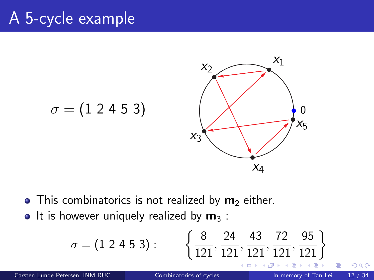### A 5-cycle example



- This combinatorics is not realized by  $m_2$  either.
- $\bullet$  It is however uniquely realized by  $m_3$ :

$$
\sigma = (1\ 2\ 4\ 5\ 3): \qquad \left\{ \frac{8}{121}, \frac{24}{121}, \frac{43}{121}, \frac{72}{121}, \frac{95}{121} \right\}
$$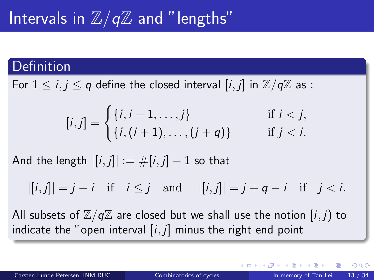## Intervals in  $\mathbb{Z}/q\mathbb{Z}$  and "lengths"

### Definition

For  $1 \le i, j \le q$  define the closed interval  $[i, j]$  in  $\mathbb{Z}/q\mathbb{Z}$  as :

$$
[i,j] = \begin{cases} \{i, i+1, \dots, j\} & \text{if } i < j, \\ \{i, (i+1), \dots, (j+q)\} & \text{if } j < i. \end{cases}
$$

And the length  $|[i, j]| := \#[i, j] - 1$  so that

 $||[i, j]| = j - i$  if  $i < j$  and  $||[i, j]| = j + q - i$  if  $j < i$ .

All subsets of  $\mathbb{Z}/q\mathbb{Z}$  are closed but we shall use the notion  $(i, j)$  to indicate the "open interval  $[i, j]$  minus the right end point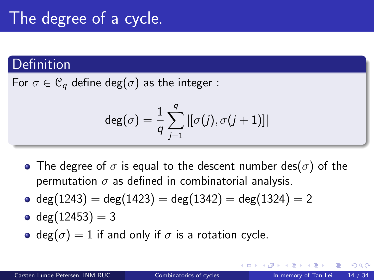## The degree of a cycle.

### Definition

For  $\sigma \in \mathcal{C}_q$  define deg( $\sigma$ ) as the integer :

$$
\mathsf{deg}(\sigma) = \frac{1}{q}\sum_{j=1}^q |[\sigma(j), \sigma(j+1)]|
$$

- The degree of  $\sigma$  is equal to the descent number des( $\sigma$ ) of the permutation  $\sigma$  as defined in combinatorial analysis.
- $\bullet$  deg(1243) = deg(1423) = deg(1342) = deg(1324) = 2
- deg $(12453) = 3$
- deg( $\sigma$ ) = 1 if and only if  $\sigma$  is a rotation cycle.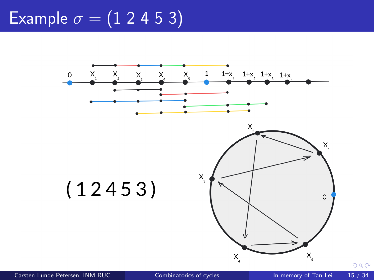## Example  $\sigma = (1 2 4 5 3)$



Carsten Lunde Petersen, INM RUC [Combinatorics of cycles](#page-0-0) In memory of Tan Lei 15 / 34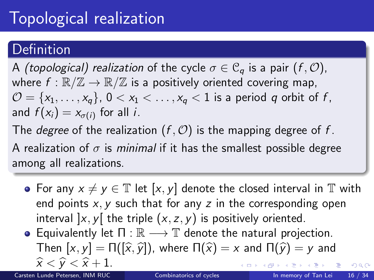## Topological realization

### **Definition**

A (topological) realization of the cycle  $\sigma \in \mathcal{C}_q$  is a pair  $(f, \mathcal{O})$ , where  $f : \mathbb{R}/\mathbb{Z} \to \mathbb{R}/\mathbb{Z}$  is a positively oriented covering map,  $\mathcal{O} = \{x_1, \ldots, x_q\}, 0 < x_1 < \ldots, x_q < 1$  is a period q orbit of f, and  $f(x_i) = x_{\sigma(i)}$  for all *i*.

The *degree* of the realization  $(f, O)$  is the mapping degree of f. A realization of  $\sigma$  is *minimal* if it has the smallest possible degree among all realizations.

- For any  $x \neq y \in \mathbb{T}$  let  $[x, y]$  denote the closed interval in  $\mathbb{T}$  with end points  $x, y$  such that for any z in the corresponding open interval  $x, y$  the triple  $(x, z, y)$  is positively oriented.
- Equivalently let  $\Pi : \mathbb{R} \longrightarrow \mathbb{T}$  denote the natural projection. Then  $[x, y] = \Pi([\hat{x}, \hat{y}])$ , where  $\Pi(\hat{x}) = x$  and  $\Pi(\hat{y}) = y$  and  $\widehat{x} < \widehat{v} < \widehat{x} + 1$ .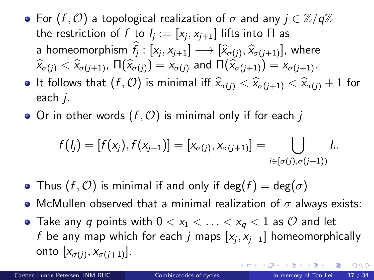- <span id="page-16-0"></span>• For  $(f, \mathcal{O})$  a topological realization of  $\sigma$  and any  $j \in \mathbb{Z}/q\mathbb{Z}$ the restriction of  $f$  to  $\mathit{l}_j := [x_j, x_{j+1}]$  lifts into  $\Pi$  as a homeomorphism  $f_j : [x_j, x_{j+1}] \longrightarrow [\widehat{x}_{\sigma(j)}, \widehat{x}_{\sigma(j+1)}],$  where<br> $\widehat{x}_{\sigma(j)} \leq \widehat{x}_{\sigma(j+1)}$ ,  $\Pi(\widehat{x}_{\sigma(j)}) = x_{\sigma(j+1)} \longrightarrow x_{\sigma(j+1)}$  $\widehat{x}_{\sigma(i)} < \widehat{x}_{\sigma(i+1)}, \ \Pi(\widehat{x}_{\sigma(i)}) = x_{\sigma(i)}$  and  $\Pi(\widehat{x}_{\sigma(i+1)}) = x_{\sigma(j+1)}$ .
- **It follows that**  $(f, \mathcal{O})$  **is minimal iff**  $\widehat{x}_{\sigma(i)} < \widehat{x}_{\sigma(i+1)} < \widehat{x}_{\sigma(i)} + 1$  for each j.
- Or in other words  $(f, O)$  is minimal only if for each j

$$
f(I_j) = [f(x_j), f(x_{j+1})] = [x_{\sigma(j)}, x_{\sigma(j+1)}] = \bigcup_{i \in [\sigma(j), \sigma(j+1))} I_i.
$$

- Thus  $(f, O)$  is minimal if and only if  $deg(f) = deg(\sigma)$
- McMullen observed that a minimal realization of  $\sigma$  always exists:
- Take any q points with  $0 < x_1 < \ldots < x_q < 1$  as  $\mathcal O$  and let  $f$  be any map which for each  $j$  maps  $[x_j, x_{j+1}]$  homeomorphically onto  $[x_{\sigma(j)}, x_{\sigma(j+1)}].$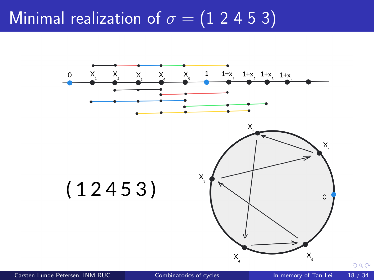## Minimal realization of  $\sigma = (1\ 2\ 4\ 5\ 3)$



Carsten Lunde Petersen, INM RUC [Combinatorics of cycles](#page-0-0) In memory of Tan Lei 18 / 34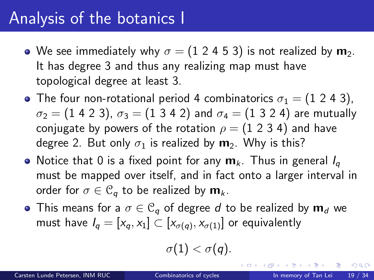### Analysis of the botanics I

- We see immediately why  $\sigma = (1 2 4 5 3)$  is not realized by  $m_2$ . It has degree 3 and thus any realizing map must have topological degree at least 3.
- The four non-rotational period 4 combinatorics  $\sigma_1 = (1 2 4 3)$ ,  $\sigma_2 = (1\ 4\ 2\ 3), \sigma_3 = (1\ 3\ 4\ 2)$  and  $\sigma_4 = (1\ 3\ 2\ 4)$  are mutually conjugate by powers of the rotation  $\rho = (1 2 3 4)$  and have degree 2. But only  $\sigma_1$  is realized by  $\mathbf{m}_2$ . Why is this?
- Notice that 0 is a fixed point for any  $m_k$ . Thus in general  $I_{\alpha}$ must be mapped over itself, and in fact onto a larger interval in order for  $\sigma \in \mathcal{C}_q$  to be realized by  $\mathbf{m}_k$ .
- This means for a  $\sigma \in \mathcal{C}_q$  of degree d to be realized by  $\mathbf{m}_d$  we must have  $I_q = [x_q, x_1] \subset [x_{\sigma(q)}, x_{\sigma(1)}]$  or equivalently

$$
\sigma(1) < \sigma(q).
$$

 $200$ 

イロト イ押ト イヨト イヨト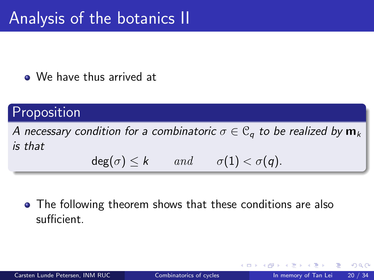• We have thus arrived at

### Proposition

A necessary condition for a combinatoric  $\sigma \in \mathcal{C}_q$  to be realized by  $\mathbf{m}_k$ is that

$$
\deg(\sigma) \leq k \qquad \text{and} \qquad \sigma(1) < \sigma(q).
$$

• The following theorem shows that these conditions are also sufficient.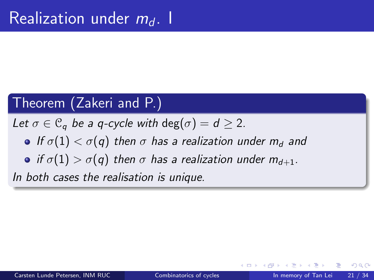### Theorem (Zakeri and P.)

Let  $\sigma \in \mathcal{C}_q$  be a q-cycle with deg $(\sigma) = d > 2$ .

- If  $\sigma(1) < \sigma(q)$  then  $\sigma$  has a realization under m<sub>d</sub> and
- if  $\sigma(1) > \sigma(q)$  then  $\sigma$  has a realization under  $m_{d+1}$ .

In both cases the realisation is unique.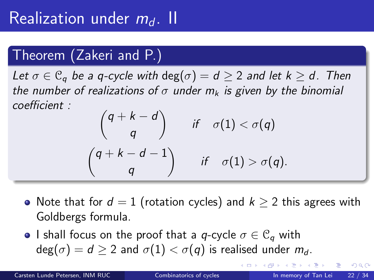### Theorem (Zakeri and P.)

Let  $\sigma \in \mathcal{C}_a$  be a q-cycle with  $deg(\sigma) = d \geq 2$  and let  $k \geq d$ . Then the number of realizations of  $\sigma$  under  $m_k$  is given by the binomial coefficient :

$$
\begin{pmatrix} q+k-d \\ q \end{pmatrix} \quad \text{ if } \quad \sigma(1) < \sigma(q) \\ \begin{pmatrix} q+k-d-1 \\ q \end{pmatrix} \quad \text{ if } \quad \sigma(1) > \sigma(q).
$$

- Note that for  $d = 1$  (rotation cycles) and  $k \ge 2$  this agrees with Goldbergs formula.
- I shall focus on the proof that a q-cycle  $\sigma \in \mathcal{C}_q$  with  $deg(\sigma) = d > 2$  and  $\sigma(1) < \sigma(q)$  is realised under  $m_d$ .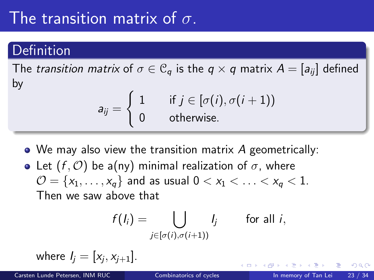### The transition matrix of  $\sigma$ .

### Definition

The transition matrix of  $\sigma \in \mathcal{C}_q$  is the  $q \times q$  matrix  $A = [a_{ii}]$  defined by

$$
a_{ij} = \begin{cases} 1 & \text{if } j \in [\sigma(i), \sigma(i+1)) \\ 0 & \text{otherwise.} \end{cases}
$$

• We may also view the transition matrix A geometrically: • Let  $(f, O)$  be a(ny) minimal realization of  $\sigma$ , where  $\mathcal{O} = \{x_1, \ldots, x_q\}$  and as usual  $0 < x_1 < \ldots < x_q < 1$ . Then we saw above that

$$
f(I_i) = \bigcup_{j \in [\sigma(i), \sigma(i+1))} I_j \quad \text{for all } i,
$$

where  $I_j = [x_j, x_{j+1}].$ 

つひひ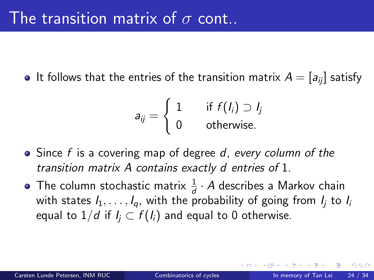• It follows that the entries of the transition matrix  $A = [a_{ii}]$  satisfy

$$
a_{ij} = \begin{cases} 1 & \text{if } f(I_i) \supset I_j \\ 0 & \text{otherwise.} \end{cases}
$$

- Since f is a covering map of degree d, every column of the transition matrix A contains exactly d entries of 1.
- The column stochastic matrix  $\frac{1}{d} \cdot A$  describes a Markov chain with states  $I_1, \ldots, I_q$ , with the probability of going from  $I_i$  to  $I_i$ equal to  $1/d$  if  $I_i \subset f(I_i)$  and equal to 0 otherwise.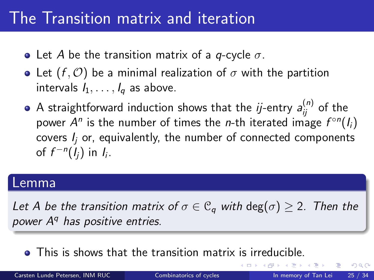### The Transition matrix and iteration

- Let A be the transition matrix of a q-cycle  $\sigma$ .
- Let  $(f, O)$  be a minimal realization of  $\sigma$  with the partition intervals  $I_1, \ldots, I_q$  as above.
- A straightforward induction shows that the  $ij$ -entry  $a_{ij}^{(n)}$  of the power  $A^n$  is the number of times the *n*-th iterated image  $f^{\circ n}(l_i)$ covers  $I_i$  or, equivalently, the number of connected components of  $f^{-n}(I_j)$  in  $I_i$ .

#### Lemma

Let A be the transition matrix of  $\sigma \in \mathcal{C}_q$  with  $deg(\sigma) \geq 2$ . Then the power A<sup>q</sup> has positive entries.

**•** This is shows that the transition matrix is irreducible.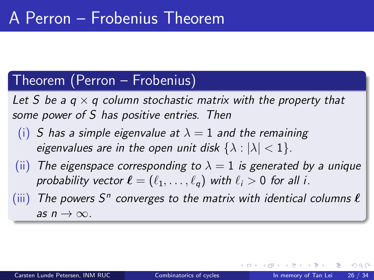#### Theorem (Perron – Frobenius)

Let S be a  $q \times q$  column stochastic matrix with the property that some power of S has positive entries. Then

- (i) S has a simple eigenvalue at  $\lambda = 1$  and the remaining eigenvalues are in the open unit disk  $\{\lambda : |\lambda| < 1\}$ .
- (ii) The eigenspace corresponding to  $\lambda = 1$  is generated by a unique probability vector  $\ell = (\ell_1, \ldots, \ell_q)$  with  $\ell_i > 0$  for all i.
- (iii) The powers  $S<sup>n</sup>$  converges to the matrix with identical columns  $\ell$ as  $n \to \infty$ .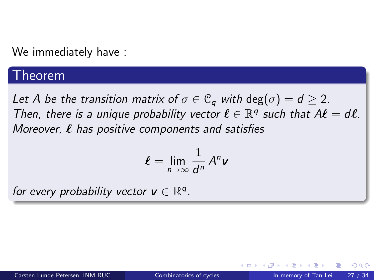We immediately have :

#### Theorem

Let A be the transition matrix of  $\sigma \in \mathcal{C}_q$  with deg $(\sigma) = d \geq 2$ . Then, there is a unique probability vector  $\ell \in \mathbb{R}^q$  such that  $A\ell = d\ell$ . Moreover,  $\ell$  has positive components and satisfies

$$
\ell=\lim_{n\to\infty}\frac{1}{d^n}A^n\mathsf{v}
$$

for every probability vector  $v \in \mathbb{R}^q$ .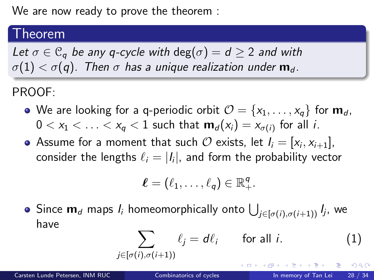<span id="page-27-0"></span>We are now ready to prove the theorem :

#### Theorem

Let  $\sigma \in \mathcal{C}_{q}$  be any q-cycle with  $deg(\sigma) = d > 2$  and with  $\sigma(1) < \sigma(q)$ . Then  $\sigma$  has a unique realization under  $m_d$ .

PROOF:

- We are looking for a q-periodic orbit  $\mathcal{O} = \{x_1, \ldots, x_q\}$  for  $\mathbf{m}_d$ ,  $0 < x_1 < \ldots < x_q < 1$  such that  $\boldsymbol{\mathsf{m}}_d(x_i) = x_{\sigma(i)}$  for all  $i.$
- Assume for a moment that such  $\mathcal O$  exists, let  $I_i=[x_i,x_{i+1}],$ consider the lengths  $\ell_i = |I_i|$ , and form the probability vector

$$
\boldsymbol{\ell}=(\ell_1,\ldots,\ell_q)\in\mathbb{R}_+^q.
$$

Since  $\mathbf{m}_d$  maps  $l_i$  homeomorphically onto  $\bigcup_{j\in[\sigma(i),\sigma(i+1))}I_j$ , we have

<span id="page-27-1"></span>
$$
\sum_{j \in [\sigma(i), \sigma(i+1))} \ell_j = d\ell_i \qquad \text{for all } i.
$$
 (1)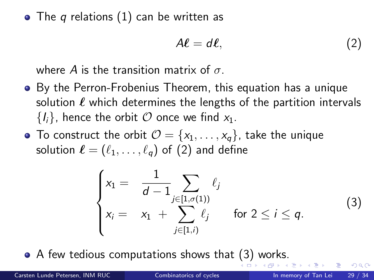<span id="page-28-0"></span>• The q relations  $(1)$  can be written as

<span id="page-28-1"></span>
$$
A\ell = d\ell, \qquad (2)
$$

where A is the transition matrix of  $\sigma$ .

- By the Perron-Frobenius Theorem, this equation has a unique solution  $\ell$  which determines the lengths of the partition intervals  $\{I_i\}$ , hence the orbit  $\mathcal O$  once we find  $x_1$ .
- To construct the orbit  $\mathcal{O} = \{x_1, \ldots, x_q\}$ , take the unique solution  $\ell = (\ell_1, \ldots, \ell_q)$  of [\(2\)](#page-28-1) and define

<span id="page-28-2"></span>
$$
\begin{cases}\n x_1 = \frac{1}{d-1} \sum_{j \in [1, \sigma(1))} \ell_j \\
x_i = x_1 + \sum_{j \in [1, i)} \ell_j \quad \text{for } 2 \leq i \leq q.\n\end{cases}
$$
\n(3)

•A few tedious computations shows that [\(3\)](#page-28-2) [w](#page-27-0)[or](#page-28-0)[k](#page-29-0)[s.](#page-0-0)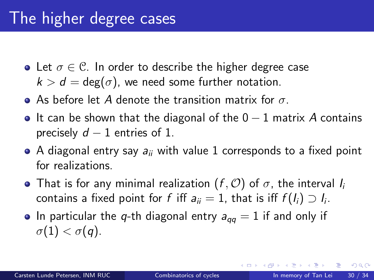- <span id="page-29-0"></span>• Let  $\sigma \in \mathcal{C}$ . In order to describe the higher degree case  $k > d = \deg(\sigma)$ , we need some further notation.
- **•** As before let A denote the transition matrix for  $\sigma$ .
- It can be shown that the diagonal of the  $0 1$  matrix A contains precisely  $d-1$  entries of 1.
- A diagonal entry say  $a_{ii}$  with value 1 corresponds to a fixed point for realizations.
- That is for any minimal realization  $(f, O)$  of  $\sigma$ , the interval  $I_i$ contains a fixed point for  $f$  iff  $a_{ii} = 1$ , that is iff  $f(I_i) \supset I_i$ .
- In particular the q-th diagonal entry  $a_{qq} = 1$  if and only if  $\sigma(1) < \sigma(q)$ .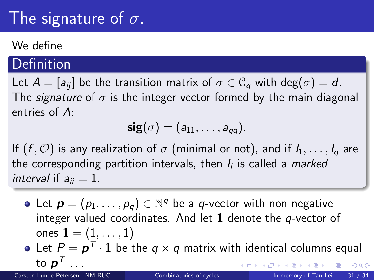## The signature of  $\sigma$ .

#### We define

### Definition

Let  $A = [a_{ii}]$  be the transition matrix of  $\sigma \in \mathcal{C}_a$  with deg $(\sigma) = d$ . The *signature* of  $\sigma$  is the integer vector formed by the main diagonal entries of A:

$$
\mathbf{sig}(\sigma)=(a_{11},\ldots,a_{qq}).
$$

If  $(f, \mathcal{O})$  is any realization of  $\sigma$  (minimal or not), and if  $I_1, \ldots, I_q$  are the corresponding partition intervals, then  $I_i$  is called a  $\emph{marked}$ interval if  $a_{ii} = 1$ .

- Let  $\boldsymbol{p}=(p_1,\ldots,p_q)\in\mathbb{N}^q$  be a q-vector with non negative integer valued coordinates. And let  $1$  denote the  $q$ -vector of ones  ${\bf 1} = (1, \ldots, 1)$
- Let  $P = \boldsymbol{p}^{\mathcal{T}} \cdot \boldsymbol{1}$  be the  $q \times q$  matrix with identical columns equal to  $\boldsymbol{\mathcal{p}}^\mathcal{T}$  . . .  $200$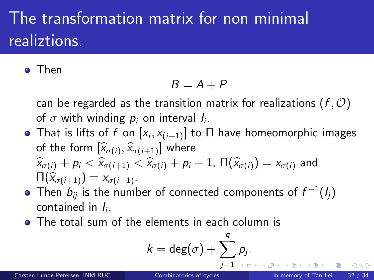# The transformation matrix for non minimal realiztions.

#### Then

$$
B=A+P
$$

can be regarded as the transition matrix for realizations  $(f, O)$ of  $\sigma$  with winding  $p_i$  on interval  $I_i$ .

- That is lifts of  $f$  on  $[x_i,x_{(i+1)}]$  to  $\Pi$  have homeomorphic images of the form  $\left[\widehat{x}_{\sigma(i)}, \widehat{x}_{\sigma(i+1)}\right]$  where  $\widehat{x}_{\sigma(i)} + p_i < \widehat{x}_{\sigma(i+1)} < \widehat{x}_{\sigma(i)} + p_i + 1$ ,  $\Pi(\widehat{x}_{\sigma(i)}) = x_{\sigma(i)}$  and  $\prod(\widehat{x}_{\sigma(i+1)}) = x_{\sigma(i+1)}.$
- Then  $b_{ij}$  is the number of connected components of  $f^{-1}(l_j)$ contained in  $I_i$ .
- The total sum of the elements in each column is

$$
k=\deg(\sigma)+\sum_{j=1}^q p_j.
$$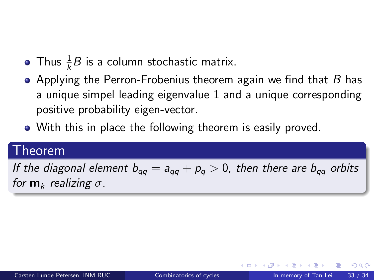- Thus  $\frac{1}{k}B$  is a column stochastic matrix.
- Applying the Perron-Frobenius theorem again we find that  $B$  has a unique simpel leading eigenvalue 1 and a unique corresponding positive probability eigen-vector.
- With this in place the following theorem is easily proved.

#### <sup>-</sup>heorem

If the diagonal element  $b_{qq} = a_{qq} + p_q > 0$ , then there are  $b_{qq}$  orbits for  $m_k$  realizing  $\sigma$ .